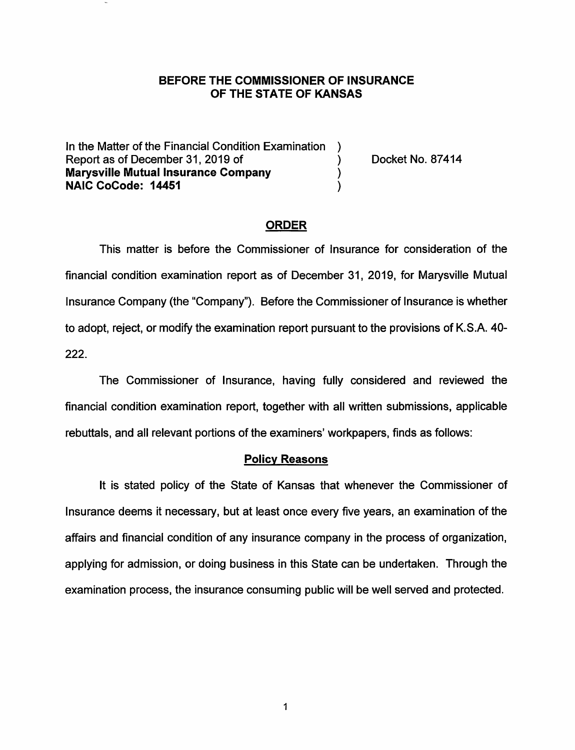### **BEFORE THE COMMISSIONER OF INSURANCE OF THE STATE OF KANSAS**

In the Matter of the Financial Condition Examination ) Report as of December 31, 2019 of (a) (b) (b) (b) (b) Docket No. 87414 **Marysville Mutual Insurance Company** ) **NAIC CoCode: 14451** )

### **ORDER**

This matter is before the Commissioner of Insurance for consideration of the financial condition examination report as of December 31, 2019, for Marysville Mutual Insurance Company (the "Company"). Before the Commissioner of Insurance is whether to adopt, reject, or modify the examination report pursuant to the provisions of K.S.A. 40- 222.

The Commissioner of Insurance, having fully considered and reviewed the financial condition examination report, together with all written submissions, applicable rebuttals, and all relevant portions of the examiners' workpapers, finds as follows:

#### **Policy Reasons**

It is stated policy of the State of Kansas that whenever the Commissioner of Insurance deems it necessary, but at least once every five years, an examination of the affairs and financial condition of any insurance company in the process of organization, applying for admission, or doing business in this State can be undertaken. Through the examination process, the insurance consuming public will be well served and protected.

1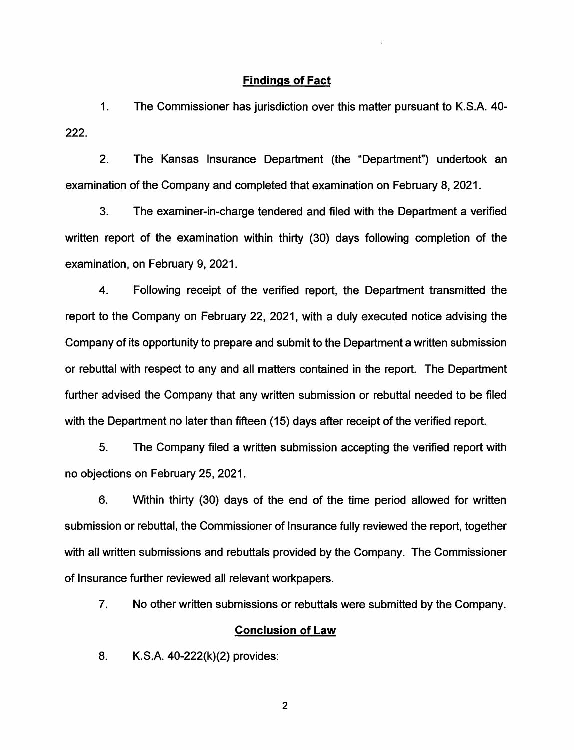### **Findings of Fact**

1. The Commissioner has jurisdiction over this matter pursuant to K.S.A. 40- 222.

2. The Kansas Insurance Department (the "Department") undertook an examination of the Company and completed that examination on February 8, 2021.

3. The examiner-in-charge tendered and filed with the Department a verified written report of the examination within thirty (30) days following completion of the examination, on February 9, 2021.

4. Following receipt of the verified report, the Department transmitted the report to the Company on February 22, 2021, with a duly executed notice advising the Company of its opportunity to prepare and submit to the Department a written submission or rebuttal with respect to any and all matters contained in the report. The Department further advised the Company that any written submission or rebuttal needed to be filed with the Department no later than fifteen (15) days after receipt of the verified report.

5. The Company filed a written submission accepting the verified report with no objections on February 25, 2021.

6. Within thirty (30) days of the end of the time period allowed for written submission or rebuttal, the Commissioner of Insurance fully reviewed the report, together with all written submissions and rebuttals provided by the Company. The Commissioner of Insurance further reviewed all relevant workpapers.

7. No other written submissions or rebuttals were submitted by the Company.

#### **Conclusion of Law**

8. K.S.A. 40-222(k)(2) provides:

2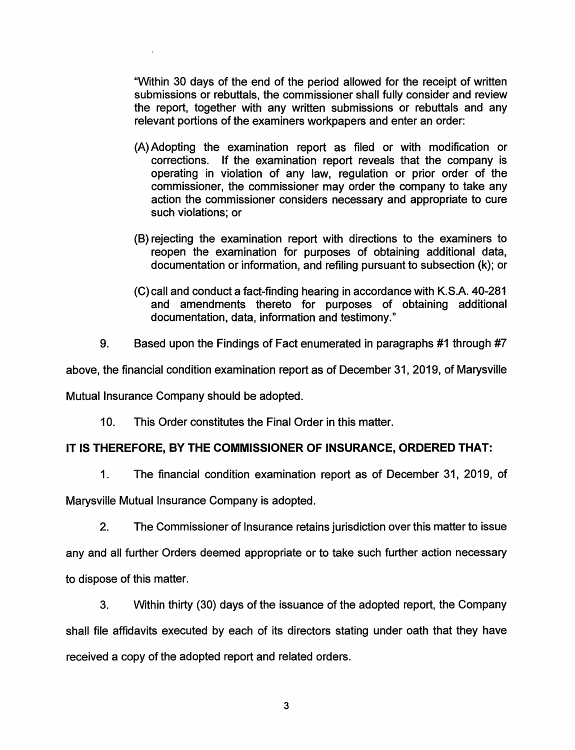"Within 30 days of the end of the period allowed for the receipt of written submissions or rebuttals, the commissioner shall fully consider and review the report, together with any written submissions or rebuttals and any relevant portions of the examiners workpapers and enter an order:

- (A) Adopting the examination report as filed or with modification or corrections. If the examination report reveals that the company is operating in violation of any law, regulation or prior order of the commissioner, the commissioner may order the company to take any action the commissioner considers necessary and appropriate to cure such violations; or
- (8) rejecting the examination report with directions to the examiners to reopen the examination for purposes of obtaining additional data, documentation or information, and refiling pursuant to subsection (k); or
- (C) call and conduct a fact-finding hearing in accordance with K.S.A. 40-281 and amendments thereto for purposes of obtaining additional documentation, data, information and testimony."
- 9. Based upon the Findings of Fact enumerated in paragraphs #1 through #7

above, the financial condition examination report as of December 31, 2019, of Marysville

Mutual Insurance Company should be adopted.

10. This Order constitutes the Final Order in this matter.

## **IT IS THEREFORE, BY THE COMMISSIONER OF INSURANCE, ORDERED THAT:**

1. The financial condition examination report as of December 31, 2019, of

Marysville Mutual Insurance Company is adopted.

2. The Commissioner of Insurance retains jurisdiction over this matter to issue

any and all further Orders deemed appropriate or to take such further action necessary to dispose of this matter.

3. Within thirty (30) days of the issuance of the adopted report, the Company shall file affidavits executed by each of its directors stating under oath that they have received a copy of the adopted report and related orders.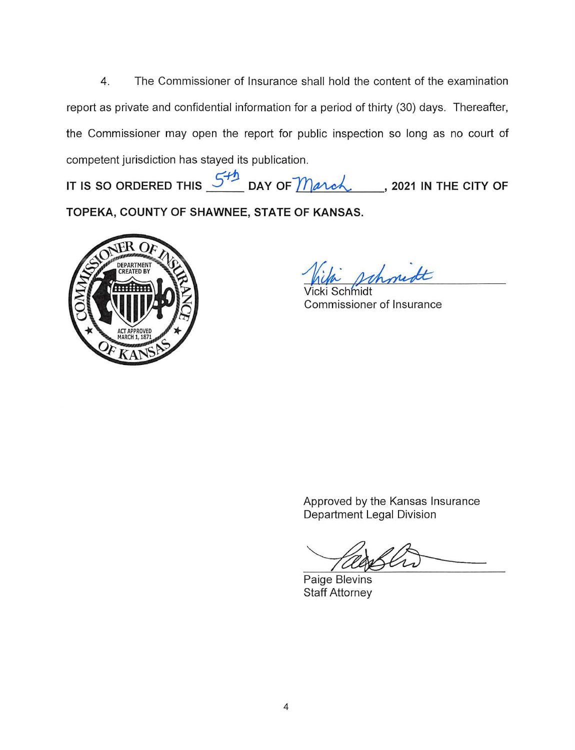4. The Commissioner of Insurance shall hold the content of the examination report as private and confidential information for a period of thirty (30) days. Thereafter, the Commissioner may open the report for public inspection so long as no court of competent jurisdiction has stayed its publication.

IT IS SO ORDERED THIS  $\frac{5+1}{2}$  DAY OF  $\frac{1}{2}$  **DAY OF**  $\frac{1}{2}$  , 2021 IN THE CITY OF **TOPEKA, COUNTY OF SHAWNEE, STATE OF KANSAS.** 



in schmidt

Commissioner of Insurance

Approved by the Kansas Insurance Department Legal Division

Paige Blevins Staff Attorney